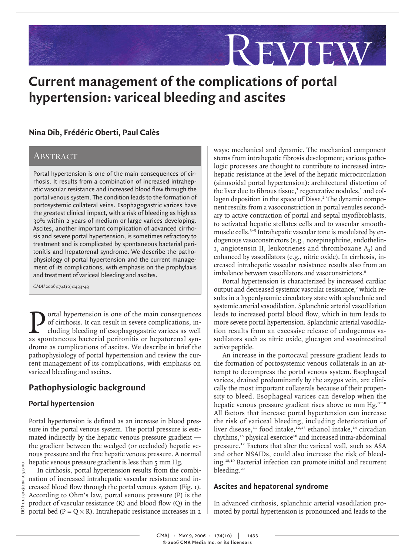# **Current management of the complications of portal hypertension: variceal bleeding and ascites**

## Abstract

**Nina Dib, Frédéric Oberti, Paul Calès**<br> **ABSTRACT**<br> **Portal hypertension is one of the main conseq<br>
mosts. It results from a combination of increased consequant resistance and increased blood flo<br>
portoxystemic collateral** Portal hypertension is one of the main consequences of cirrhosis. It results from a combination of increased intrahepatic vascular resistance and increased blood flow through the portal venous system. The condition leads to the formation of portosystemic collateral veins. Esophagogastric varices have the greatest clinical impact, with a risk of bleeding as high as 30% within 2 years of medium or large varices developing. Ascites, another important complication of advanced cirrhosis and severe portal hypertension, is sometimes refractory to treatment and is complicated by spontaneous bacterial peritonitis and hepatorenal syndrome. We describe the pathophysiology of portal hypertension and the current management of its complications, with emphasis on the prophylaxis and treatment of variceal bleeding and ascites.

CMAJ 2006;174(10):1433-43

Tortal hypertension is one of the main consequences<br>of cirrhosis. It can result in severe complications, in-<br>cluding bleeding of esophagogastric varices as well<br>as spontaneous bacterial peritonitis or henatorenal synof cirrhosis. It can result in severe complications, including bleeding of esophagogastric varices as well as spontaneous bacterial peritonitis or hepatorenal syndrome as complications of ascites. We describe in brief the pathophysiology of portal hypertension and review the current management of its complications, with emphasis on variceal bleeding and ascites.

## **Pathophysiologic background**

## **Portal hypertension**

Portal hypertension is defined as an increase in blood pressure in the portal venous system. The portal pressure is estimated indirectly by the hepatic venous pressure gradient the gradient between the wedged (or occluded) hepatic venous pressure and the free hepatic venous pressure. A normal hepatic venous pressure gradient is less than 5 mm Hg.

In cirrhosis, portal hypertension results from the combination of increased intrahepatic vascular resistance and increased blood flow through the portal venous system (Fig. 1). According to Ohm's law, portal venous pressure (P) is the product of vascular resistance (R) and blood flow (Q) in the portal bed ( $P = Q \times R$ ). Intrahepatic resistance increases in 2

ways: mechanical and dynamic. The mechanical component stems from intrahepatic fibrosis development; various pathologic processes are thought to contribute to increased intrahepatic resistance at the level of the hepatic microcirculation (sinusoidal portal hypertension): architectural distortion of the liver due to fibrous tissue, $\frac{1}{2}$  regenerative nodules, $\frac{1}{2}$  and collagen deposition in the space of Disse.<sup>2</sup> The dynamic component results from a vasoconstriction in portal venules secondary to active contraction of portal and septal myofibroblasts, to activated hepatic stellates cells and to vascular smoothmuscle cells.<sup>3–5</sup> Intrahepatic vascular tone is modulated by endogenous vasoconstrictors (e.g., norepinephrine, endothelin-1, angiotensin II, leukotrienes and thromboxane  $A_2$ ) and enhanced by vasodilators (e.g., nitric oxide). In cirrhosis, increased intrahepatic vascular resistance results also from an imbalance between vasodilators and vasoconstrictors.<sup>6</sup>

Review

Portal hypertension is characterized by increased cardiac output and decreased systemic vascular resistance,<sup>7</sup> which results in a hyperdynamic circulatory state with splanchnic and systemic arterial vasodilation. Splanchnic arterial vasodilation leads to increased portal blood flow, which in turn leads to more severe portal hypertension. Splanchnic arterial vasodilation results from an excessive release of endogenous vasodilators such as nitric oxide, glucagon and vasointestinal active peptide.

An increase in the portocaval pressure gradient leads to the formation of portosystemic venous collaterals in an attempt to decompress the portal venous system. Esophageal varices, drained predominantly by the azygos vein, are clinically the most important collaterals because of their propensity to bleed. Esophageal varices can develop when the hepatic venous pressure gradient rises above 10 mm  $Hg<sub>s-10</sub>$ All factors that increase portal hypertension can increase the risk of variceal bleeding, including deterioration of liver disease,<sup>11</sup> food intake,<sup>12,13</sup> ethanol intake,<sup>14</sup> circadian rhythms,<sup>15</sup> physical exercice<sup>16</sup> and increased intra-abdominal pressure.<sup>17</sup> Factors that alter the variceal wall, such as ASA and other NSAIDs, could also increase the risk of bleeding.18,19 Bacterial infection can promote initial and recurrent bleeding.<sup>20</sup>

## **Ascites and hepatorenal syndrome**

In advanced cirrhosis, splanchnic arterial vasodilation promoted by portal hypertension is pronounced and leads to the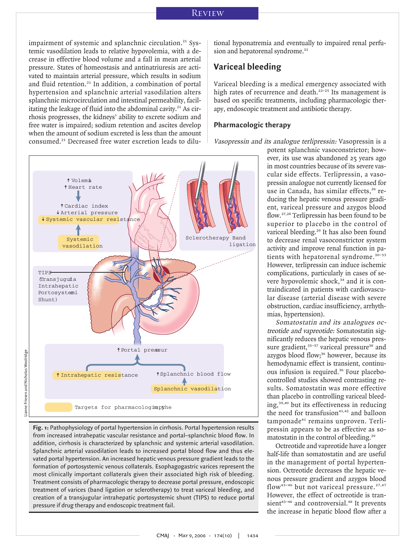impairment of systemic and splanchnic circulation.<sup>21</sup> Systemic vasodilation leads to relative hypovolemia, with a decrease in effective blood volume and a fall in mean arterial pressure. States of homeostasis and antinatriuresis are activated to maintain arterial pressure, which results in sodium and fluid retention.<sup>21</sup> In addition, a combination of portal hypertension and splanchnic arterial vasodilation alters splanchnic microcirculation and intestinal permeability, facilitating the leakage of fluid into the abdominal cavity.<sup>21</sup> As cirrhosis progresses, the kidneys' ability to excrete sodium and free water is impaired; sodium retention and ascites develop when the amount of sodium excreted is less than the amount consumed.<sup>21</sup> Decreased free water excretion leads to dilutional hyponatremia and eventually to impaired renal perfusion and hepatorenal syndrome.<sup>21</sup>

## **Variceal bleeding**

Variceal bleeding is a medical emergency associated with high rates of recurrence and death.<sup>22-25</sup> Its management is based on specific treatments, including pharmacologic therapy, endoscopic treatment and antibiotic therapy.

## **Pharmacologic therapy**

Vasopressin and its analogue terlipressin: Vasopressin is a



**Fig. 1:** Pathophysiology of portal hypertension in cirrhosis. Portal hypertension results from increased intrahepatic vascular resistance and portal–splanchnic blood flow. In addition, cirrhosis is characterized by splanchnic and systemic arterial vasodilation. Splanchnic arterial vasodilation leads to increased portal blood flow and thus elevated portal hypertension. An increased hepatic venous pressure gradient leads to the formation of portosystemic venous collaterals. Esophagogastric varices represent the most clinically important collaterals given their associated high risk of bleeding. Treatment consists of pharmacologic therapy to decrease portal pressure, endoscopic treatment of varices (band ligation or sclerotherapy) to treat variceal bleeding, and creation of a transjugular intrahepatic portosystemic shunt (TIPS) to reduce portal pressure if drug therapy and endoscopic treatment fail.

potent splanchnic vasoconstrictor; however, its use was abandoned 25 years ago in most countries because of its severe vascular side effects. Terlipressin, a vasopressin analogue not currently licensed for use in Canada, has similar effects,<sup>26</sup> reducing the hepatic venous pressure gradient, variceal pressure and azygos blood flow.27,28 Terlipressin has been found to be superior to placebo in the control of variceal bleeding.<sup>29</sup> It has also been found to decrease renal vasoconstrictor system activity and improve renal function in patients with hepatorenal syndrome.<sup>30-33</sup> However, terlipressin can induce ischemic complications, particularly in cases of severe hypovolemic shock,<sup>34</sup> and it is contraindicated in patients with cardiovascular disease (arterial disease with severe obstruction, cardiac insufficiency, arrhythmias, hypertension).

Somatostatin and its analogues octreotide and vapreotide: Somatostatin significantly reduces the hepatic venous pressure gradient, $35-37$  variceal pressure<sup>38</sup> and azygos blood flow;<sup>36</sup> however, because its hemodynamic effect is transient, continuous infusion is required.<sup>36</sup> Four placebocontrolled studies showed contrasting results. Somatostatin was more effective than placebo in controlling variceal bleeding,39,40 but its effectiveness in reducing the need for transfusion $41,42$  and balloon tamponade<sup>41</sup> remains unproven. Terlipressin appears to be as effective as somatostatin in the control of bleeding.<sup>29</sup>

Octreotide and vapreotide have a longer half-life than somatostatin and are useful in the management of portal hypertension. Octreotide decreases the hepatic venous pressure gradient and azygos blood flow<sup>43-46</sup> but not variceal pressure.<sup>27,47</sup> However, the effect of octreotide is transient<sup>43-46</sup> and controversial.<sup>48</sup> It prevents the increase in hepatic blood flow after a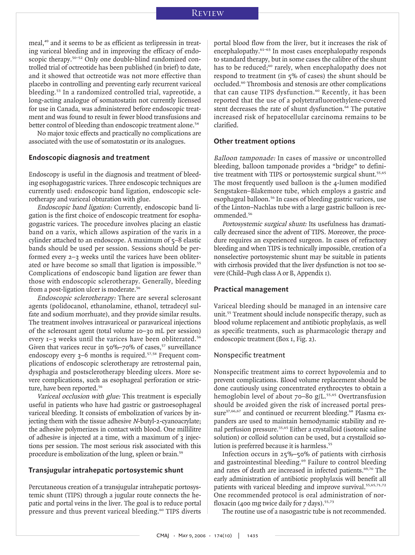meal,<sup>49</sup> and it seems to be as efficient as terlipressin in treating variceal bleeding and in improving the efficacy of endoscopic therapy.<sup>50–52</sup> Only one double-blind randomized controlled trial of octreotide has been published (in brief) to date, and it showed that octreotide was not more effective than placebo in controlling and preventing early recurrent variceal bleeding.<sup>53</sup> In a randomized controlled trial, vapreotide, a long-acting analogue of somatostatin not currently licensed for use in Canada, was administered before endoscopic treatment and was found to result in fewer blood transfusions and better control of bleeding than endoscopic treatment alone.<sup>54</sup>

No major toxic effects and practically no complications are associated with the use of somatostatin or its analogues.

## **Endoscopic diagnosis and treatment**

Endoscopy is useful in the diagnosis and treatment of bleeding esophagogastric varices. Three endoscopic techniques are currently used: endoscopic band ligation, endoscopic sclerotherapy and variceal obturation with glue.

Endoscopic band ligation: Currently, endoscopic band ligation is the first choice of endoscopic treatment for esophagogastric varices. The procedure involves placing an elastic band on a varix, which allows aspiration of the varix in a cylinder attached to an endoscope. A maximum of 5–8 elastic bands should be used per session. Sessions should be performed every 2–3 weeks until the varices have been obliterated or have become so small that ligation is impossible.<sup>55</sup> Complications of endoscopic band ligation are fewer than those with endoscopic sclerotherapy. Generally, bleeding from a post-ligation ulcer is moderate.<sup>56</sup>

Endoscopic sclerotherapy: There are several sclerosant agents (polidocanol, ethanolamine, ethanol, tetradecyl sulfate and sodium morrhuate), and they provide similar results. The treatment involves intravariceal or paravariceal injections of the sclerosant agent (total volume 10–30 mL per session) every 1-3 weeks until the varices have been obliterated.<sup>56</sup> Given that varices recur in  $50\% - 70\%$  of cases,<sup>57</sup> surveillance endoscopy every 3–6 months is required.<sup>57,58</sup> Frequent complications of endoscopic sclerotherapy are retrosternal pain, dysphagia and postsclerotherapy bleeding ulcers. More severe complications, such as esophageal perforation or stricture, have been reported.<sup>56</sup>

Variceal occlusion with glue: This treatment is especially useful in patients who have had gastric or gastroesophageal variceal bleeding. It consists of embolization of varices by injecting them with the tissue adhesive N-butyl-2-cyanoacrylate; the adhesive polymerizes in contact with blood. One millilitre of adhesive is injected at a time, with a maximum of 3 injections per session. The most serious risk associated with this procedure is embolization of the lung, spleen or brain.<sup>59</sup>

## **Transjugular intrahepatic portosystemic shunt**

Percutaneous creation of a transjugular intrahepatic portosystemic shunt (TIPS) through a jugular route connects the hepatic and portal veins in the liver. The goal is to reduce portal pressure and thus prevent variceal bleeding.<sup>60</sup> TIPS diverts portal blood flow from the liver, but it increases the risk of encephalopathy.61–63 In most cases encephalopathy responds to standard therapy, but in some cases the calibre of the shunt has to be reduced;<sup>60</sup> rarely, when encephalopathy does not respond to treatment (in 5% of cases) the shunt should be occluded.<sup>60</sup> Thrombosis and stenosis are other complications that can cause TIPS dysfunction.<sup>60</sup> Recently, it has been reported that the use of a polytetrafluoroethylene-covered stent decreases the rate of shunt dysfunction.<sup>64</sup> The putative increased risk of hepatocellular carcinoma remains to be clarified.

## **Other treatment options**

Balloon tamponade: In cases of massive or uncontrolled bleeding, balloon tamponade provides a "bridge" to definitive treatment with TIPS or portosystemic surgical shunt.<sup>55,65</sup> The most frequently used balloon is the 4-lumen modified Sengstaken–Blakemore tube, which employs a gastric and esophageal balloon.<sup>56</sup> In cases of bleeding gastric varices, use of the Linton–Nachlas tube with a large gastric balloon is recommended.<sup>56</sup>

Portosystemic surgical shunt: Its usefulness has dramatically decreased since the advent of TIPS. Moreover, the procedure requires an experienced surgeon. In cases of refractory bleeding and when TIPS is technically impossible, creation of a nonselective portosystemic shunt may be suitable in patients with cirrhosis provided that the liver dysfunction is not too severe (Child–Pugh class A or B, Appendix 1).

#### **Practical management**

Variceal bleeding should be managed in an intensive care unit.<sup>55</sup> Treatment should include nonspecific therapy, such as blood volume replacement and antibiotic prophylaxis, as well as specific treatments, such as pharmacologic therapy and endoscopic treatment (Box 1, Fig. 2).

## Nonspecific treatment

Nonspecific treatment aims to correct hypovolemia and to prevent complications. Blood volume replacement should be done cautiously using concentrated erythrocytes to obtain a hemoglobin level of about 70–80 g/L.<sup>55,65</sup> Overtransfusion should be avoided given the risk of increased portal pressure<sup>37,66,67</sup> and continued or recurrent bleeding.<sup>68</sup> Plasma expanders are used to maintain hemodynamic stability and renal perfusion pressure.55,65 Either a crystalloid (isotonic saline solution) or colloid solution can be used, but a crystalloid solution is preferred because it is harmless.<sup>55</sup>

Infection occurs in 25%–50% of patients with cirrhosis and gastrointestinal bleeding.<sup>69</sup> Failure to control bleeding and rates of death are increased in infected patients.<sup>69,70</sup> The early administration of antibiotic prophylaxis will benefit all patients with variceal bleeding and improve survival.<sup>55,65,71,72</sup> One recommended protocol is oral administration of norfloxacin (400 mg twice daily for  $7$  days).<sup>55,73</sup>

The routine use of a nasogastric tube is not recommended.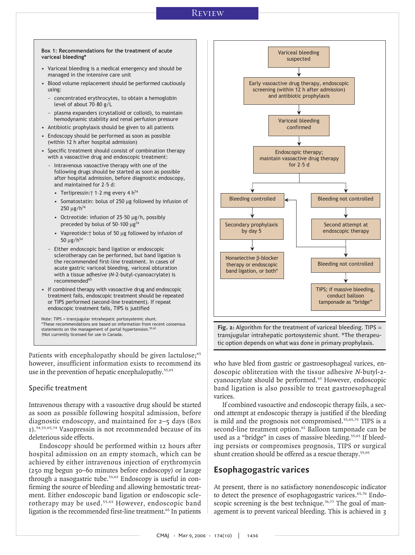## Review



recommended<sup>65</sup> • If combined therapy with vasoactive drug and endoscopic treatment fails, endoscopic treatment should be repeated or TIPS performed (second-line treatment). If repeat endoscopic treatment fails, TIPS is justified

Note: TIPS = transjugular intrahepatic portosystemic shunt. \*These recommendations are based on information from recent consensus statements on the management of portal hypertension.<sup>55,65</sup> †Not currently licensed for use in Canada.

Patients with encephalopathy should be given lactulose;<sup>65</sup> however, insufficient information exists to recommend its use in the prevention of hepatic encephalopathy.<sup>55,65</sup>

## Specific treatment

Intravenous therapy with a vasoactive drug should be started as soon as possible following hospital admission, before diagnostic endoscopy, and maintained for 2–5 days (Box 1).54,55,65,74 Vasopressin is not recommended because of its deleterious side effects.

Endoscopy should be performed within 12 hours after hospital admission on an empty stomach, which can be achieved by either intravenous injection of erythromycin (250 mg begun 30–60 minutes before endoscopy) or lavage through a nasogastric tube.<sup>55,65</sup> Endoscopy is useful in confirming the source of bleeding and allowing hemostatic treatment. Either endoscopic band ligation or endoscopic sclerotherapy may be used.<sup>55,65</sup> However, endoscopic band ligation is the recommended first-line treatment.<sup>65</sup> In patients



transjugular intrahepatic portosystemic shunt. \*The therapeutic option depends on what was done in primary prophylaxis.

who have bled from gastric or gastroesophageal varices, endoscopic obliteration with the tissue adhesive N-butyl-2 cyanoacrylate should be performed.<sup>65</sup> However, endoscopic band ligation is also possible to treat gastroesophageal varices.

If combined vasoactive and endoscopic therapy fails, a second attempt at endoscopic therapy is justified if the bleeding is mild and the prognosis not compromised.<sup>55,65,75</sup> TIPS is a second-line treatment option.<sup>65</sup> Balloon tamponade can be used as a "bridge" in cases of massive bleeding.<sup>55,65</sup> If bleeding persists or compromises prognosis, TIPS or surgical shunt creation should be offered as a rescue therapy.<sup>55,65</sup>

## **Esophagogastric varices**

At present, there is no satisfactory nonendoscopic indicator to detect the presence of esophagogastric varices.<sup>65,76</sup> Endoscopic screening is the best technique.<sup>76,77</sup> The goal of management is to prevent variceal bleeding. This is achieved in 3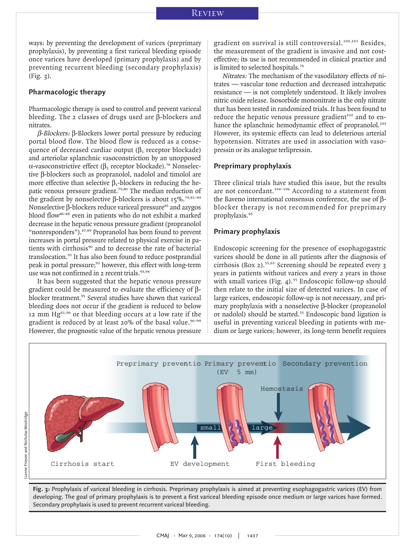ways: by preventing the development of varices (preprimary prophylaxis), by preventing a first variceal bleeding episode once varices have developed (primary prophylaxis) and by preventing recurrent bleeding (secondary prophylaxis) (Fig. 3).

## **Pharmacologic therapy**

Pharmacologic therapy is used to control and prevent variceal bleeding. The 2 classes of drugs used are β-blockers and nitrates.

β-Blockers: β-Blockers lower portal pressure by reducing portal blood flow. The blood flow is reduced as a consequence of decreased cardiac output  $(\beta_1)$  receptor blockade) and arteriolar splanchnic vasoconstriction by an unopposed α-vasoconstrictive effect ( $\beta$ <sub>2</sub> receptor blockade).<sup>78</sup> Nonselective β-blockers such as propranolol, nadolol and timolol are more effective than selective  $\beta_1$ -blockers in reducing the hepatic venous pressure gradient.<sup>79,80</sup> The median reduction of the gradient by nonselective β-blockers is about  $15\%$ .<sup>79,81-84</sup> Nonselective β-blockers reduce variceal pressure<sup>85</sup> and azygos blood flow<sup>86–88</sup> even in patients who do not exhibit a marked decrease in the hepatic venous pressure gradient (propranolol "nonresponders").87,89 Propranolol has been found to prevent increases in portal pressure related to physical exercise in patients with cirrhosis<sup>90</sup> and to decrease the rate of bacterial translocation.<sup>91</sup> It has also been found to reduce postprandial peak in portal pressure;<sup>92</sup> however, this effect with long-term use was not confirmed in 2 recent trials.<sup>93,94</sup>

It has been suggested that the hepatic venous pressure gradient could be measured to evaluate the efficiency of βblocker treatment.<sup>95</sup> Several studies have shown that variceal bleeding does not occur if the gradient is reduced to below 12 mm Hg<sup>81,96</sup> or that bleeding occurs at a low rate if the gradient is reduced by at least 20% of the basal value.<sup>96-99</sup> However, the prognostic value of the hepatic venous pressure

gradient on survival is still controversial.<sup>100,101</sup> Besides, the measurement of the gradient is invasive and not costeffective; its use is not recommended in clinical practice and is limited to selected hospitals.<sup>76</sup>

Nitrates: The mechanism of the vasodilatory effects of nitrates — vascular tone reduction and decreased intrahepatic resistance — is not completely understood. It likely involves nitric oxide release. Isosorbide mononitrate is the only nitrate that has been tested in randomized trials. It has been found to reduce the hepatic venous pressure gradient<sup>102</sup> and to enhance the splanchnic hemodynamic effect of propranolol.<sup>103</sup> However, its systemic effects can lead to deleterious arterial hypotension. Nitrates are used in association with vasopressin or its analogue terlipressin.

## **Preprimary prophylaxis**

Three clinical trials have studied this issue, but the results are not concordant.<sup>104-106</sup> According to a statement from the Baveno international consensus conference, the use of βblocker therapy is not recommended for preprimary prophylaxis.<sup>65</sup>

## **Primary prophylaxis**

Endoscopic screening for the presence of esophagogastric varices should be done in all patients after the diagnosis of cirrhosis (Box 2).<sup>55,65</sup> Screening should be repeated every  $\frac{1}{3}$ years in patients without varices and every 2 years in those with small varices (Fig. 4). $55$  Endoscopic follow-up should then relate to the initial size of detected varices. In case of large varices, endoscopic follow-up is not necessary, and primary prophylaxis with a nonselective β-blocker (propranolol or nadolol) should be started.<sup>55</sup> Endoscopic band ligation is useful in preventing variceal bleeding in patients with medium or large varices; however, its long-term benefit requires



**Fig. 3:** Prophylaxis of variceal bleeding in cirrhosis. Preprimary prophylaxis is aimed at preventing esophagogastric varices (EV) from developing. The goal of primary prophylaxis is to prevent a first variceal bleeding episode once medium or large varices have formed. Secondary prophylaxis is used to prevent recurrent variceal bleeding.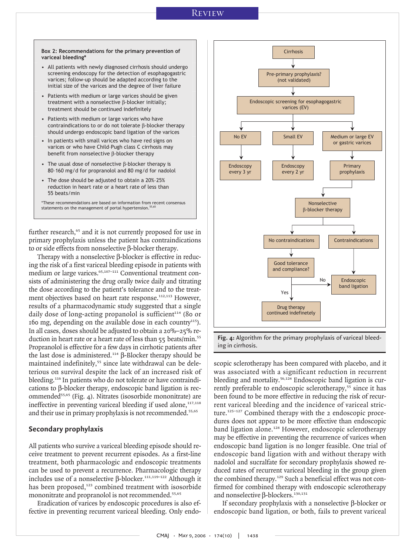- All patients with newly diagnosed cirrhosis should undergo screening endoscopy for the detection of esophagogastric varices; follow-up should be adapted according to the initial size of the varices and the degree of liver failure
- Patients with medium or large varices should be given treatment with a nonselective β-blocker initially; treatment should be continued indefinitely
- Patients with medium or large varices who have contraindications to or do not tolerate β-blocker therapy should undergo endoscopic band ligation of the varices
- In patients with small varices who have red signs on varices or who have Child–Pugh class C cirrhosis may benefit from nonselective β-blocker therapy
- The usual dose of nonselective β-blocker therapy is 80–160 mg/d for propranolol and 80 mg/d for nadolol
- The dose should be adjusted to obtain a 20%–25% reduction in heart rate or a heart rate of less than 55 beats/min

\*These recommendations are based on information from recent consensus statements on the management of portal hypertension.<sup>5</sup>

further research,<sup>65</sup> and it is not currently proposed for use in primary prophylaxis unless the patient has contraindications to or side effects from nonselective β-blocker therapy.

Therapy with a nonselective β-blocker is effective in reducing the risk of a first variceal bleeding episode in patients with medium or large varices.<sup>65,107-111</sup> Conventional treatment consists of administering the drug orally twice daily and titrating the dose according to the patient's tolerance and to the treatment objectives based on heart rate response.<sup>112,113</sup> However, results of a pharmacodynamic study suggested that a single daily dose of long-acting propanolol is sufficient<sup>114</sup> (80 or 160 mg, depending on the available dose in each country<sup>115</sup>). In all cases, doses should be adjusted to obtain a 20%–25% reduction in heart rate or a heart rate of less than 55 beats/min.<sup>55</sup> Propranolol is effective for a few days in cirrhotic patients after the last dose is administered.<sup>114</sup> β-Blocker therapy should be maintained indefinitely,<sup>55</sup> since late withdrawal can be deleterious on survival despite the lack of an increased risk of bleeding.<sup>116</sup> In patients who do not tolerate or have contraindications to β-blocker therapy, endoscopic band ligation is recommended<sup>55,65</sup> (Fig. 4). Nitrates (isosorbide mononitrate) are ineffective in preventing variceal bleeding if used alone,  $117,118$ and their use in primary prophylaxis is not recommended.<sup>55,65</sup>

## **Secondary prophylaxis**

All patients who survive a variceal bleeding episode should receive treatment to prevent recurrent episodes. As a first-line treatment, both pharmacologic and endoscopic treatments can be used to prevent a recurrence. Pharmacologic therapy includes use of a nonselective β-blocker.<sup>111,119-122</sup> Although it has been proposed,<sup>123</sup> combined treatment with isosorbide mononitrate and propranolol is not recommended.<sup>55,65</sup>

Eradication of varices by endoscopic procedures is also effective in preventing recurrent variceal bleeding. Only endo-



**Fig. 4:** Algorithm for the primary prophylaxis of variceal bleeding in cirrhosis.

scopic sclerotherapy has been compared with placebo, and it was associated with a significant reduction in recurrent bleeding and mortality.<sup>56,124</sup> Endoscopic band ligation is currently preferable to endoscopic sclerotherapy,<sup>55</sup> since it has been found to be more effective in reducing the risk of recurrent variceal bleeding and the incidence of variceal stricture.<sup>125-127</sup> Combined therapy with the 2 endoscopic procedures does not appear to be more effective than endoscopic band ligation alone.<sup>128</sup> However, endoscopic sclerotherapy may be effective in preventing the recurrence of varices when endoscopic band ligation is no longer feasible. One trial of endoscopic band ligation with and without therapy with nadolol and sucralfate for secondary prophylaxis showed reduced rates of recurrent variceal bleeding in the group given the combined therapy.<sup>129</sup> Such a beneficial effect was not confirmed for combined therapy with endoscopic sclerotherapy and nonselective β-blockers.<sup>130,131</sup>

If secondary prophylaxis with a nonselective β-blocker or endoscopic band ligation, or both, fails to prevent variceal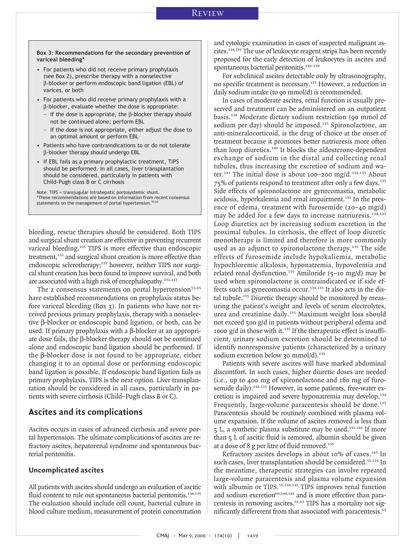**Box 3: Recommendations for the secondary prevention of variceal bleeding\*** 

- For patients who did not receive primary prophylaxis (see Box 2), prescribe therapy with a nonselective β-blocker or perform endoscopic band ligation (EBL) of varices, or both
- For patients who did receive primary prophylaxis with a β-blocker, evaluate whether the dose is appropriate:
	- $-$  If the dose is appropriate, the β-blocker therapy should not be continued alone; perform EBL
	- If the dose is not appropriate, either adjust the dose to an optimal amount or perform EBL
- Patients who have contraindications to or do not tolerate β-blocker therapy should undergo EBL
- If EBL fails as a primary prophylactic treatment, TIPS should be performed. In all cases, liver transplantation should be considered, particularly in patients with Child-Pugh class B or C cirrhosis

Note: TIPS = transjugular intrahepatic portosystemic shunt. \*These recommendations are based on information from recent consensus statements on the management of portal hypertension.<sup>55,65</sup>

bleeding, rescue therapies should be considered. Both TIPS and surgical shunt creation are effective in preventing recurrent variceal bleeding.<sup>125</sup> TIPS is more effective than endoscopic treatment,<sup>132</sup> and surgical shunt creation is more effective than endoscopic sclerotherapy;<sup>133</sup> however, neither TIPS nor surgical shunt creation has been found to improve survival, and both are associated with a high risk of encephalopathy.<sup>132,133</sup>

The 2 consensus statements on portal hypertension<sup>55,65</sup> have established recommendations on prophylaxis status before variceal bleeding (Box 3). In patients who have not received previous primary prophylaxis, therapy with a nonselective β-blocker or endoscopic band ligation, or both, can be used. If primary prophylaxis with a β-blocker at an appropriate dose fails, the β-blocker therapy should not be continued alone and endoscopic band ligation should be performed. If the β-blocker dose is not found to be appropriate, either changing it to an optimal dose or performing endoscopic band ligation is possible. If endoscopic band ligation fails as primary prophylaxis, TIPS is the next option. Liver transplantation should be considered in all cases, particularly in patients with severe cirrhosis (Child–Pugh class B or C).

## **Ascites and its complications**

Ascites occurs in cases of advanced cirrhosis and severe portal hypertension. The ultimate complications of ascites are refractory ascites, hepatorenal syndrome and spontaneous bacterial peritonitis.

## **Uncomplicated ascites**

All patients with ascites should undergo an evaluation of ascitic fluid content to rule out spontaneous bacterial peritonitis.<sup>134,135</sup> The evaluation should include cell count, bacterial culture in blood culture medium, measurement of protein concentration

and cytologic examination in cases of suspected malignant ascites.134,135 The use of leukocyte reagent strips has been recently proposed for the early detection of leukocytes in ascites and spontaneous bacterial peritonitis.<sup>136-139</sup>

For subclinical ascites detectable only by ultrasonography, no specific treatment is necessary.<sup>135</sup> However, a reduction in daily sodium intake (to 90 mmol/d) is recommended.

In cases of moderate ascites, renal function is usually preserved and treatment can be administered on an outpatient basis.<sup>134</sup> Moderate dietary sodium restriction (90 mmol of sodium per day) should be imposed.<sup>135</sup> Spironolactone, an anti-mineralocorticoid, is the drug of choice at the onset of treatment because it promotes better natriuresis more often than loop diuretics.<sup>140</sup> It blocks the aldosterone-dependent exchange of sodium in the distal and collecting renal tubules, thus increasing the excretion of sodium and water.<sup>141</sup> The initial dose is about 100–200 mg/d.<sup>134,135</sup> About 75% of patients respond to treatment after only a few days.<sup>135</sup> Side effects of spironolactone are gynecomastia, metabolic acidosis, hyperkalemia and renal impairment.<sup>135</sup> In the presence of edema, treatment with furosemide (20–40 mg/d) may be added for a few days to increase natriuresis.<sup>134,135</sup> Loop diuretics act by increasing sodium excretion in the proximal tubules. In cirrhosis, the effect of loop diuretic monotherapy is limited and therefore is more commonly used as an adjunct to spironolactone therapy.<sup>135</sup> The side effects of furosemide include hypokaliemia, metabolic hypochloremic alkalosis, hyponatremia, hypovolemia and related renal dysfunction.<sup>135</sup> Amiloride (5-10 mg/d) may be used when spironolactone is contraindicated or if side effects such as gynecomastia occur.<sup>134,135</sup> It also acts in the distal tubule.<sup>135</sup> Diuretic therapy should be monitored by measuring the patient's weight and levels of serum electrolytes, urea and creatinine daily.<sup>135</sup> Maximum weight loss should not exceed 500 g/d in patients without peripheral edema and 1000 g/d in those with it. $135$  If the therapeutic effect is insufficient, urinary sodium excretion should be determined to identify nonresponsive patients (characterized by a urinary sodium excretion below 30 mmol/d). $135$ 

Patients with severe ascites will have marked abdominal discomfort. In such cases, higher diuretic doses are needed (i.e., up to 400 mg of spironolactone and 160 mg of furosemide daily).<sup>134,135</sup> However, in some patients, free-water excretion is impaired and severe hyponatremia may develop.<sup>134</sup> Frequently, large-volume paracentesis should be done.<sup>135</sup> Paracentesis should be routinely combined with plasma volume expansion. If the volume of ascites removed is less than 5 L, a synthetic plasma substitute may be used.<sup>135,142</sup> If more than 5 L of ascitic fluid is removed, albumin should be given at a dose of 8 g per litre of fluid removed.<sup>135</sup>

Refractory ascites develops in about 10% of cases.<sup>143</sup> In such cases, liver transplantation should be considered.<sup>55,135</sup> In the meantime, therapeutic strategies can involve repeated large-volume paracentesis and plasma volume expansion with albumin or TIPS.<sup>55,134,135</sup> TIPS improves renal function and sodium excretion $60,144,145$  and is more effective than paracentesis in removing ascites.<sup>61,63</sup> TIPS has a mortality not significantly differerent from that associated with paracentesis.<sup>63</sup>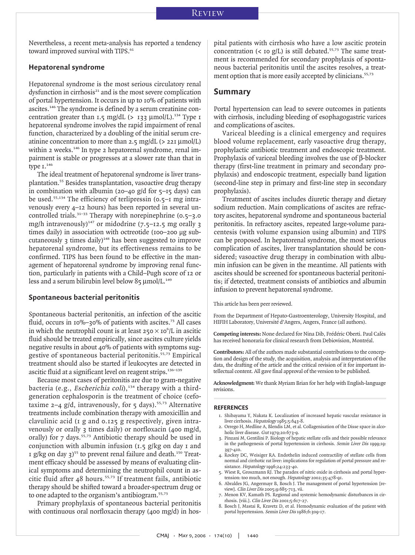Nevertheless, a recent meta-analysis has reported a tendency toward improved survival with TIPS.<sup>61</sup>

## **Hepatorenal syndrome**

Hepatorenal syndrome is the most serious circulatory renal dysfunction in cirrhosis<sup>21</sup> and is the most severe complication of portal hypertension. It occurs in up to 10% of patients with ascites.<sup>146</sup> The syndrome is defined by a serum creatinine concentration greater than 1.5 mg/dL (> 133  $\mu$ mol/L).<sup>134</sup> Type 1 hepatorenal syndrome involves the rapid impairment of renal function, characterized by a doubling of the initial serum creatinine concentration to more than 2.5 mg/dL (> 221 µmol/L) within 2 weeks.<sup>146</sup> In type 2 hepatorenal syndrome, renal impairment is stable or progresses at a slower rate than that in type  $I^{146}$ 

The ideal treatment of hepatorenal syndrome is liver transplantation.<sup>55</sup> Besides transplantation, vasoactive drug therapy in combination with albumin (20–40 g/d for  $5$ –15 days) can be used.<sup>55,134</sup> The efficiency of terlipressin (0.5–1 mg intravenously every 4–12 hours) has been reported in several uncontrolled trials.<sup>31-33</sup> Therapy with norepinephrine  $(0.5-3.0)$ mg/h intravenously)<sup>147</sup> or midodrine  $(7.5-12.5$  mg orally 3 times daily) in association with octreotide (100–200 µg subcutaneously  $\alpha$  times daily)<sup>148</sup> has been suggested to improve hepatorenal syndrome, but its effectiveness remains to be confirmed. TIPS has been found to be effective in the management of hepatorenal syndrome by improving renal function, particularly in patients with a Child–Pugh score of 12 or less and a serum bilirubin level below  $85 \mu$ mol/L.<sup>149</sup>

## **Spontaneous bacterial peritonitis**

Spontaneous bacterial peritonitis, an infection of the ascitic fluid, occurs in 10%–30% of patients with ascites.<sup>73</sup> All cases in which the neutrophil count is at least  $250 \times 10^{6}$  /L in ascitic fluid should be treated empirically, since ascites culture yields negative results in about 40% of patients with symptoms suggestive of spontaneous bacterial peritonitis.55,73 Empirical treatment should also be started if leukocytes are detected in ascitic fluid at a significant level on reagent strips.<sup>136–139</sup>

Because most cases of peritonitis are due to gram-negative bacteria (e.g., Escherichia coli),<sup>134</sup> therapy with a thirdgeneration cephalosporin is the treatment of choice (cefotaxime  $2-4$  g/d, intravenously, for  $5$  days).<sup>55,73</sup> Alternative treatments include combination therapy with amoxicillin and clavulinic acid (1 g and 0.125 g respectively, given intravenously or orally 3 times daily) or norfloxacin (400 mg/d, orally) for  $7$  days.<sup>55,73</sup> Antibiotic therapy should be used in conjunction with albumin infusion  $(1.5 \text{ g/kg on day I and})$ 1 g/kg on day  $3^{55}$  to prevent renal failure and death.<sup>150</sup> Treatment efficacy should be assessed by means of evaluating clinical symptoms and determining the neutrophil count in ascitic fluid after 48 hours.55,73 If treatment fails, antibiotic therapy should be shifted toward a broader-spectrum drug or to one adapted to the organism's antibiogram.55,73

Primary prophylaxis of spontaneous bacterial peritonitis with continuous oral norfloxacin therapy (400 mg/d) in hospital patients with cirrhosis who have a low ascitic protein concentration (< 10 g/L) is still debated.<sup>55,73</sup> The same treatment is recommended for secondary prophylaxis of spontaneous bacterial peritonitis until the ascites resolves, a treatment option that is more easily accepted by clinicians.<sup>55,73</sup>

## **Summary**

Portal hypertension can lead to severe outcomes in patients with cirrhosis, including bleeding of esophagogastric varices and complications of ascites.

Variceal bleeding is a clinical emergency and requires blood volume replacement, early vasoactive drug therapy, prophylactic antibiotic treatment and endoscopic treatment. Prophylaxis of variceal bleeding involves the use of β-blocker therapy (first-line treatment in primary and secondary prophylaxis) and endoscopic treatment, especially band ligation (second-line step in primary and first-line step in secondary prophylaxis).

Treatment of ascites includes diuretic therapy and dietary sodium reduction. Main complications of ascites are refractory ascites, hepatorenal syndrome and spontaneous bacterial peritonitis. In refractory ascites, repeated large-volume paracentesis (with volume expansion using albumin) and TIPS can be proposed. In hepatorenal syndrome, the most serious complication of ascites, liver transplantation should be considered; vasoactive drug therapy in combination with albumin infusion can be given in the meantime. All patients with ascites should be screened for spontaneous bacterial peritonitis; if detected, treatment consists of antibiotics and albumin infusion to prevent hepatorenal syndrome.

This article has been peer reviewed.

From the Department of Hepato-Gastroenterology, University Hospital, and HIFIH Laboratory, Université d'Angers, Angers, France (all authors).

**Competing interests:** None declared for Nina Dib, Frédéric Oberti. Paul Calès has received honoraria for clinical research from Debiovision, Montréal.

**Contributors:** All of the authors made substantial contributions to the conception and design of the study, the acquisition, analysis and interpretation of the data, the drafting of the article and the critical revision of it for important intellectual content. All gave final approval of the version to be published.

**Acknowledgment:** We thank Myriam Brian for her help with English-language revisions.

#### **REFERENCES**

- 1. Shibayama Y, Nakata K. Localization of increased hepatic vascular resistance in liver cirrhosis. Hepatology 1985;5:643-8.
- 2. Orrego H, Medline A, Blendis LM, et al. Collagenisation of the Disse space in alcoholic liver disease. Gut 1979;20:673-9.
- 3. Pinzani M, Gentilini P. Biology of hepatic stellate cells and their possible relevance in the pathogenesis of portal hypertension in cirrhosis. Semin Liver Dis 1999;19: 397-410.
- 4. Rockey DC, Weisiger RA. Endothelin induced contractility of stellate cells from normal and cirrhotic rat liver: implications for regulation of portal pressure and resistance. Hepatology 1996;24:233-40.
- 5. Wiest R, Groszmann RJ. The paradox of nitric oxide in cirrhosis and portal hypertension: too much, not enough. Hepatology 2002;35:478-91.
- 6. Abraldes JG, Angermayr B, Bosch J. The management of portal hypertension [review]. Clin Liver Dis 2005;9:685-713, vii.
- 7. Menon KV, Kamath PS. Regional and systemic hemodynamic disturbances in cirrhosis. [viii.]. Clin Liver Dis 2001;5:617-27.
- 8. Bosch J, Mastai R, Kravetz D, et al. Hemodynamic evaluation of the patient with portal hypertension. Semin Liver Dis 1986;6:309-17.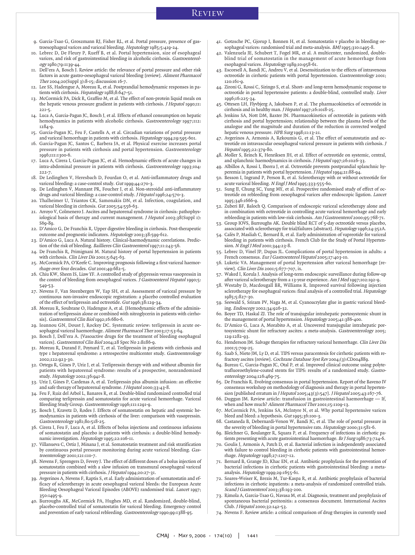- 9. Garcia-Tsao G, Groszmann RJ, Fisher RL, et al. Portal pressure, presence of gastroesophageal varices and variceal bleeding. Hepatology 1985;5:419-24.
- 10. Lebrec D, De Fleury P, Rueff B, et al. Portal hypertension, size of esophageal varices, and risk of gastrointestinal bleeding in alcoholic cirrhosis. Gastroenterology 1980;79:1139-44.
- 11. Dell'era A, Bosch J. Review article: the relevance of portal pressure and other risk factors in acute gastro-oesophageal variceal bleeding [review]. Aliment Pharmacol Ther 2004;20(Suppl 3):8-15; discussion 16-7.
- 12. Lee SS, Hadengue A, Moreau R, et al. Postprandial hemodynamic responses in patients with cirrhosis. Hepatology 1988;8:647-51.
- 13. McCormick PA, Dick R, Graffeo M, et al. The effect of non-protein liquid meals on the hepatic venous pressure gradient in patients with cirrhosis. J Hepatol 1990;11: 221-5.
- 14. Luca A, Garcia-Pagan JC, Bosch J, et al. Effects of ethanol consumption on hepatic hemodynamics in patients with alcoholic cirrhosis. Gastroenterology 1997;112: 1284-9.
- 15. Garcia-Pagan JC, Feu F, Castells A, et al. Circadian variations of portal pressure and variceal hemorrhage in patients with cirrhosis. Hepatology 1994;19:595-601.
- 16. Garcia-Pagan JC, Santos C, Barbera JA, et al. Physical exercise increases portal pressure in patients with cirrhosis and portal hypertension. Gastroenterology 1996;111:1300-6.
- 17. Luca A, Cirera I, Garcia-Pagan JC, et al. Hemodynamic effects of acute changes in intra-abdominal pressure in patients with cirrhosis. Gastroenterology 1993;104: 222-7.
- 18. De Ledinghen V, Heresbach D, Fourdan O, et al. Anti-inflammatory drugs and variceal bleeding: a case-control study. Gut 1999;44:270-3.
- 19. De Ledinghen V, Mannant PR, Foucher J, et al. Non-steroidal anti-inflammatory drugs and variceal bleeding: a case-control study. *J Hepatol* 1996;24:570-3.
- 20. Thalheimer U, Triantos CK, Samonakis DN, et al. Infection, coagulation, and variceal bleeding in cirrhosis. Gut 2005;54:556-63.
- 21. Arroyo V, Colmenero J. Ascites and hepatorenal syndrome in cirrhosis: pathophysiological basis of therapy and current management. J Hepatol 2003;38(Suppl 1): S69-89.
- 22. D'Amico G, De Franchis R. Upper digestive bleeding in cirrhosis. Post-therapeutic outcome and prognostic indicators. Hepatology 2003;38:599-612.
- 23. D'Amico G, Luca A. Natural history. Clinical-haemodynamic correlations. Prediction of the risk of bleeding. Baillieres Clin Gastroenterol 1997;11:243-56.
- 24. De Franchis R, Primignani M. Natural history of portal hypertension in patients with cirrhosis. Clin Liver Dis 2001;5:645-63.
- 25. McCormick PA, O'Keefe C. Improving prognosis following a first variceal haemorrhage over four decades. Gut 2001;49:682-5.
- 26. Chiu KW, Sheen IS, Liaw YF. A controlled study of glypressin versus vasopressin in the control of bleeding from oesophageal varices. J Gastroenterol Hepatol 1990;5: 549-53.
- 27. Nevens F, Van Steenbergen W, Yap SH, et al. Assessment of variceal pressure by continuous non-invasive endoscopic registration: a placebo controlled evaluation of the effect of terlipressin and octreotide. Gut 1996;38:129-34.
- 28. Moreau R, Soubrane O, Hadengue A, et al. [Hemodynamic effects of the administration of terlipressin alone or combined with nitroglycerin in patients with cirrhosis]. Gastroenterol Clin Biol 1992;16:680-6.
- 29. Ioannou GN, Doust J, Rockey DC. Systematic review: terlipressin in acute oesophageal variceal haemorrhage. Aliment Pharmacol Ther 2003;17:53-64.
- 30. Bosch J, Dell'era A. [Vasoactive drugs for the treatment of bleeding esophageal varices]. Gastroenterol Clin Biol 2004;28 Spec No 2:B186-9.
- 31. Moreau R, Durand F, Poynard T, et al. Terlipressin in patients with cirrhosis and type 1 hepatorenal syndrome: a retrospective multicenter study. Gastroenterology 2002;122:923-30.
- 32. Ortega R, Gines P, Uriz J, et al. Terlipressin therapy with and without albumin for patients with hepatorenal syndrome: results of a prospective, nonrandomized study. Hepatology 2002;36:941-8.
- 33. Uriz J, Gines P, Cardenas A, et al. Terlipressin plus albumin infusion: an effective and safe therapy of hepatorenal syndrome. *J Hepatol* 2000;33:43-8.
- 34. Feu F, Ruiz del Arbol L, Banares R, et al. Double-blind randomized controlled trial comparing terlipressin and somatostatin for acute variceal hemorrhage. Variceal Bleeding Study Group. Gastroenterology 1996;111:1291-9.
- 35. Bosch J, Kravetz D, Rodes J. Effects of somatostatin on hepatic and systemic hemodynamics in patients with cirrhosis of the liver: comparison with vasopressin. Gastroenterology 1981;80:518-25.
- 36. Cirera I, Feu F, Luca A, et al. Effects of bolus injections and continuous infusions of somatostatin and placebo in patients with cirrhosis: a double-blind hemodynamic investigation. Hepatology 1995;22:106-11.
- 37. Villanueva C, Ortiz J, Minana J, et al. Somatostatin treatment and risk stratification by continuous portal pressure monitoring during acute variceal bleeding. Gastroenterology 2001;121:110-7.
- 38. Nevens F, Sprengers D, Fevery J. The effect of different doses of a bolus injection of somatostatin combined with a slow infusion on transmural oesophageal variceal pressure in patients with cirrhosis. J Hepatol 1994;20:27-31.
- 39. Avgerinos A, Nevens F, Raptis S, et al. Early administration of somatostatin and efficacy of sclerotherapy in acute oesophageal variceal bleeds: the European Acute Bleeding Oesophageal Variceal Episodes (ABOVE) randomised trial. Lancet 1997; 350:1495-9.
- 40. Burroughs AK, McCormick PA, Hughes MD, et al. Randomized, double-blind, placebo-controlled trial of somatostatin for variceal bleeding. Emergency control and prevention of early variceal rebleeding. Gastroenterology 1990;99:1388-95.
- 41. Gotzsche PC, Gjorup I, Bonnen H, et al. Somatostatin v placebo in bleeding oesophageal varices: randomised trial and meta-analysis. BMJ1995;310:1495-8.
- Valenzuela JE, Schubert T, Fogel MR, et al. A multicenter, randomized, doubleblind trial of somatostatin in the management of acute hemorrhage from esophageal varices. Hepatology 1989;10:958-61.
- 43. Escorsell A, Bandi JC, Andreu V, et al. Desensitization to the effects of intravenous octreotide in cirrhotic patients with portal hypertension. Gastroenterology 2001; 120:161-9.
- 44. Zironi G, Rossi C, Siringo S, et al. Short- and long-term hemodynamic response to octreotide in portal hypertensive patients: a double-blind, controlled study. Liver 1996;16:225-34.
- 45. Ottesen LH, Flyvbjerg A, Jakobsen P, et al. The pharmacokinetics of octreotide in cirrhosis and in healthy man. J Hepatol 1997;26:1018-25.
- 46. Jenkins SA, Nott DM, Baxter JN. Pharmacokinetics of octreotide in patients with cirrhosis and portal hypertension; relationship between the plasma levels of the analogue and the magnitude and duration of the reduction in corrected wedged hepatic venous pressure. HPB Surg 1998;11:13-21.
- 47. Avgerinos A, Armonis A, Rekoumis G, et al. The effect of somatostatin and octreotide on intravascular oesophageal variceal pressure in patients with cirrhosis. J Hepatol 1995;22:379-80.
- 48. Moller S, Brinch K, Henriksen JH, et al. Effect of octreotide on systemic, central, and splanchnic haemodynamics in cirrhosis. *J Hepatol* 1997;26:1026-33.
- 49. Albillos A, Rossi I, Iborra J, et al. Octreotide prevents postprandial splanchnic hyperemia in patients with portal hypertension. *J Hepatol* 1994;21:88-94.
- 50. Besson I, Ingrand P, Person B, et al. Sclerotherapy with or without octreotide for acute variceal bleeding. N Engl J Med 1995;333:555-60.
- 51. Sung JJ, Chung SC, Yung MY, et al. Prospective randomised study of effect of octreotide on rebleeding from oesophageal varices after endoscopic ligation. Lancet 1995;346:1666-9.
- Zuberi BF, Baloch Q. Comparison of endoscopic variceal sclerotherapy alone and in combination with octreotide in controlling acute variceal hemorrhage and early rebleeding in patients with low-risk cirrhosis. Am J Gastroenterol 2000;95:768-71.
- 53. Group IOVS, Burroughs AK. Double blind RCT of 5-day octreotide versus placebo, associated with sclerotherapy for trial/failures [abstract]. Hepatology 1996;24:352A.
- Calès P, Masliah C, Bernard B, et al. Early administration of vapreotide for variceal bleeding in patients with cirrhosis. French Club for the Study of Portal Hypertension. N Engl J Med 2001;344:23-8.
- 55. Lebrec D, Vinel JP, Dupas JL. Complications of portal hypertension in adults: a French consensus. Eur J Gastroenterol Hepatol 2005;17:403-10.
- 56. Luketic VA. Management of portal hypertension after variceal hemorrhage [review]. Clin Liver Dis 2001;5:677-707, ix.
- 57. Waked I, Korula J. Analysis of long-term endoscopic surveillance during follow-up after variceal sclerotherapy from a 13-year experience. Am J Med 1997;102:192-9.
- 58. Westaby D, Macdougall BR, Williams R. Improved survival following injection sclerotherapy for esophageal varices: final analysis of a controlled trial. Hepatology 1985;5:827-30.
- 59. Seewald S, Sriram PV, Naga M, et al. Cyanoacrylate glue in gastric variceal bleeding. Endoscopy 2002;34:926-32.
- 60. Boyer TD, Haskal ZJ. The role of transjugular intrahepatic portosystemic shunt in the management of portal hypertension. Hepatology 2005;41:386-400.
- 61. D'Amico G, Luca A, Morabito A, et al. Uncovered transjugular intrahepatic portosystemic shunt for refractory ascites: a meta-analysis. Gastroenterology 2005; 129:1282-93.
- 62. Henderson JM. Salvage therapies for refractory variceal hemorrhage. Clin Liver Dis 2001;5:709-25.
- 63. Saab S, Nieto JM, Ly D, et al. TIPS versus paracentesis for cirrhotic patients with refractory ascites [review]. Cochrane Database Syst Rev 2004;(3):CD004889.
- 64. Bureau C, Garcia-Pagan JC, Otal P, et al. Improved clinical outcome using polytetrafluoroethylene-coated stents for TIPS: results of a randomized study. Gastroenterology 2004;126:469-75.
- 65. De Franchis R. Evolving consensus in portal hypertension. Report of the Baveno IV consensus workshop on methodology of diagnosis and therapy in portal hypertension [published erratum in J Hepatol 2005;43(3):547]. J Hepatol 2005;43:167-76.
- 66. Duggan JM. Review article: transfusion in gastrointestinal haemorrhage If, when and how much? Aliment Pharmacol Ther 2001;15:1109-13.
- 67. McCormick PA, Jenkins SA, McIntyre N, et al. Why portal hypertensive varices bleed and bleed: a hypothesis. Gut 1995;36:100-3.
- 68. Castaneda B, Debernardi-Venon W, Bandi JC, et al. The role of portal pressure in the severity of bleeding in portal hypertensive rats. Hepatology 2000;31:581-6.
- 69. Bleichner G, Boulanger R, Squara P, et al. Frequency of infections in cirrhotic patients presenting with acute gastrointestinal haemorrhage. Br J Surg 1986;73:724-6.
- 70. Goulis J, Armonis A, Patch D, et al. Bacterial infection is independently associated with failure to control bleeding in cirrhotic patients with gastrointestinal hemorrhage. Hepatology 1998;27:1207-12.
- 71. Bernard B, Grange JD, Khac EN, et al. Antibiotic prophylaxis for the prevention of bacterial infections in cirrhotic patients with gastrointestinal bleeding: a metaanalysis. Hepatology 1999;29:1655-61.
- Soares-Weiser K, Brezis M, Tur-Kaspa R, et al. Antibiotic prophylaxis of bacterial infections in cirrhotic inpatients: a meta-analysis of randomized controlled trials. Scand J Gastroenterol 2003;38:193-200.
- 73. Rimola A, Garcia-Tsao G, Navasa M, et al. Diagnosis, treatment and prophylaxis of spontaneous bacterial peritonitis: a consensus document. International Ascites Club. J Hepatol 2000;32:142-53.
- 74. Nevens F. Review article: a critical comparison of drug therapies in currently used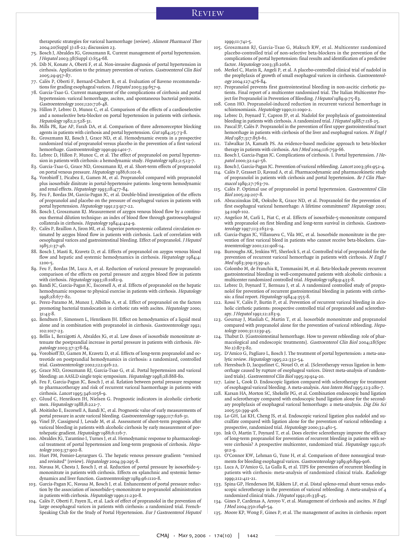therapeutic strategies for variceal haemorrhage [review]. Aliment Pharmacol Ther 2004;20(Suppl 3):18-22; discussion 23.

75. Bosch J, Abraldes JG, Groszmann R. Current management of portal hypertension. J Hepatol 2003;38(Suppl 1):S54-68.

- 76. Dib N, Konate A, Oberti F, et al. Non-invasive diagnosis of portal hypertension in cirrhosis. Application to the primary prevention of varices. Gastroenterol Clin Biol 2005;29:957-87.
- 77. Calès P, Oberti F, Bernard-Chabert B, et al. Evaluation of Baveno recommendations for grading esophageal varices. J Hepatol 2003;39:657-9.
- 78. Garcia-Tsao G. Current management of the complications of cirrhosis and portal hypertension: variceal hemorrhage, ascites, and spontaneous bacterial peritonitis. Gastroenterology 2001;120:726-48.
- 79. Hillon P, Lebrec D, Munoz C, et al. Comparison of the effects of a cardioselective and a nonselective beta-blocker on portal hypertension in patients with cirrhosis. Hepatology 1982;2:528-31.
- 80. Mills PR, Rae AP, Farah DA, et al. Comparison of three adrenoreceptor blocking agents in patients with cirrhosis and portal hypertension. Gut 1984;25:73-8.
- 81. Groszmann RJ, Bosch J, Grace ND, et al. Hemodynamic events in a prospective randomized trial of propranolol versus placebo in the prevention of a first variceal hemorrhage. Gastroenterology 1990;99:1401-7.
- 82. Lebrec D, Hillon P, Munoz C, et al. The effect of propranolol on portal hypertension in patients with cirrhosis: a hemodynamic study. Hepatology 1982;2:523-7.
- 83. Garcia-Tsao G, Grace ND, Groszmann RJ, et al. Short-term effects of propranolol on portal venous pressure. Hepatology 1986;6:101-6.
- 84. Vorobioff J, Picabea E, Gamen M, et al. Propranolol compared with propranolol plus isosorbide dinitrate in portal-hypertensive patients: long-term hemodynamic and renal effects. Hepatology 1993;18:477-84.
- 85. Feu F, Bordas JM, Garcia-Pagan JC, et al. Double-blind investigation of the effects of propranolol and placebo on the pressure of esophageal varices in patients with portal hypertension. Hepatology 1991;13:917-22.
- Bosch J, Groszmann RJ. Measurement of azygos venous blood flow by a continuous thermal dilution technique: an index of blood flow through gastroesophageal collaterals in cirrhosis. Hepatology 1984;4:424-9.
- 87. Calès P, Braillon A, Jiron MI, et al. Superior portosystemic collateral circulation estimated by azygos blood flow in patients with cirrhosis. Lack of correlation with oesophageal varices and gastrointestinal bleeding. Effect of propranolol. J Hepatol 1985;1:37-46.
- 88. Bosch J, Masti R, Kravetz D, et al. Effects of propranolol on azygos venous blood flow and hepatic and systemic hemodynamics in cirrhosis. Hepatology 1984;4: 1200-5.
- 89. Feu F, Bordas JM, Luca A, et al. Reduction of variceal pressure by propranolol: comparison of the effects on portal pressure and azygos blood flow in patients with cirrhosis. Hepatology 1993;18:1082-9.
- Bandi JC, Garcia-Pagan JC, Escorsell A, et al. Effects of propranolol on the hepatic hemodynamic response to physical exercise in patients with cirrhosis. Hepatology 1998;28:677-82.
- 91. Perez-Paramo M, Munoz J, Albillos A, et al. Effect of propranolol on the factors promoting bacterial translocation in cirrhotic rats with ascites. Hepatology 2000; 31:43-8.
- 92. Bendtsen F, Simonsen L, Henriksen JH. Effect on hemodynamics of a liquid meal alone and in combination with propranolol in cirrhosis. Gastroenterology 1992; 102:1017-23.
- 93. Bellis L, Berzigotti A, Abraldes JG, et al. Low doses of isosorbide mononitrate attenuate the postprandial increase in portal pressure in patients with cirrhosis. Hepatology 2003;37:378-84.
- 94. Vorobioff JD, Gamen M, Kravetz D, et al. Effects of long-term propranolol and octreotide on postprandial hemodynamics in cirrhosis: a randomized, controlled trial. Gastroenterology 2002;122:916-22.
- 95. Grace ND, Groszmann RJ, Garcia-Tsao G, et al. Portal hypertension and variceal bleeding: an AASLD single topic symposium. Hepatology 1998;28:868-80.
- 96. Feu F, Garcia-Pagan JC, Bosch J, et al. Relation between portal pressure response to pharmacotherapy and risk of recurrent variceal haemorrhage in patients with cirrhosis. Lancet 1995;346:1056-9.
- Gluud C, Henriksen JH, Nielsen G. Prognostic indicators in alcoholic cirrhotic men. Hepatology 1988;8:222-7.
- 98. Moitinho E, Escorsell A, Bandi JC, et al. Prognostic value of early measurements of portal pressure in acute variceal bleeding. Gastroenterology 1999;117:626-31.
- 99. Vinel JP, Cassigneul J, Levade M, et al. Assessment of short-term prognosis after variceal bleeding in patients with alcoholic cirrhosis by early measurement of portohepatic gradient. Hepatology 1986;6:116-7.
- 100. Abraldes JG, Tarantino I, Turnes J, et al. Hemodynamic response to pharmacological treatment of portal hypertension and long-term prognosis of cirrhosis. Hepatology 2003;37:902-8.
- 101. Huet PM, Pomier-Layrargues G. The hepatic venous pressure gradient: "remixed and revisited" [review]. Hepatology 2004;39:295-8.
- 102. Navasa M, Chesta J, Bosch J, et al. Reduction of portal pressure by isosorbide-5 mononitrate in patients with cirrhosis. Effects on splanchnic and systemic hemodynamics and liver function. Gastroenterology 1989;96:1110-8.
- 103. Garcia-Pagan JC, Navasa M, Bosch J, et al. Enhancement of portal pressure reduction by the association of isosorbide-5-mononitrate to propranolol administration in patients with cirrhosis. Hepatology 1990;11:230-8.
- 104. Calès P, Oberti F, Payen JL, et al. Lack of effect of propranolol in the prevention of large oesophageal varices in patients with cirrhosis: a randomized trial. French-Speaking Club for the Study of Portal Hypertension. Eur J Gastroenterol Hepatol

1999;11:741-5.

- 105. Groszmann RJ, Garcia-Tsao G, Makuch RW, et al. Multicenter randomized placebo-controlled trial of non-selective beta-blockers in the prevention of the complications of portal hypertension: final results and identification of a predictive factor. Hepatology 2003;38:206A.
- 106. Merkel C, Marin R, Angeli P, et al. A placebo-controlled clinical trial of nadolol in the prophylaxis of growth of small esophageal varices in cirrhosis. Gastroenterology 2004;127:476-84.
- 107. Propranolol prevents first gastrointestinal bleeding in non-ascitic cirrhotic patients. Final report of a multicenter randomized trial. The Italian Multicenter Project for Propranolol in Prevention of Bleeding. J Hepatol 1989;9:75-83.
- 108. Conn HO. Propranolol-induced reduction in recurrent variceal hemorrhage in schistosomiasis. Hepatology 1990;11:1090-2.
- 109. Lebrec D, Poynard T, Capron JP, et al. Nadolol for prophylaxis of gastrointestinal bleeding in patients with cirrhosis. A randomized trial. *J Hepatol* 1988;7:118-25.
- 110. Pascal JP, Calès P. Propranolol in the prevention of first upper gastrointestinal tract hemorrhage in patients with cirrhosis of the liver and esophageal varices. <sup>N</sup> Engl J Med 1987;317:856-61.
- 111. Talwalkar JA, Kamath PS. An evidence-based medicine approach to beta-blocker therapy in patients with cirrhosis. Am J Med 2004;116:759-66.
- Bosch J, Garcia-Pagan JC. Complications of cirrhosis. I. Portal hypertension. J Hepatol 2000;32:141-56.
- 113. Bosch J, Garcia-Pagan JC. Prevention of variceal rebleeding. Lancet 2003;361:952-4.
- 114. Calès P, Grasset D, Ravaud A, et al. Pharmacodynamic and pharmacokinetic study of propranolol in patients with cirrhosis and portal hypertension. Br J Clin Pharmacol 1080;27:763-70.
- 115. Calès P. Optimal use of propranolol in portal hypertension. Gastroenterol Clin Biol 2005;29:207-8.
- 116. Abraczinskas DR, Ookubo R, Grace ND, et al. Propranolol for the prevention of first esophageal variceal hemorrhage: A lifetime commitment? Hepatology 2001; 34:1096-102.
- 117. Angelico M, Carli L, Piat C, et al. Effects of isosorbide-5-mononitrate compared with propranolol on first bleeding and long-term survival in cirrhosis. Gastroenterology 1997;113:1632-9.
- 118. Garcia-Pagan JC, Villanueva C, Vila MC, et al. Isosorbide mononitrate in the prevention of first variceal bleed in patients who cannot receive beta-blockers. Gastroenterology 2001;121:908-14.
- 119. Burroughs AK, Jenkins WJ, Sherlock S, et al. Controlled trial of propranolol for the prevention of recurrent variceal hemorrhage in patients with cirrhosis. <sup>N</sup> Engl J Med 1983;309:1539-42.
- 120. Colombo M, de Franchis R, Tommasini M, et al. Beta-blockade prevents recurrent gastrointestinal bleeding in well-compensated patients with alcoholic cirrhosis: a multicenter randomized controlled trial. Hepatology 1989;9:433-8.
- 121. Lebrec D, Poynard T, Bernuau J, et al. A randomized controlled study of propranolol for prevention of recurrent gastrointestinal bleeding in patients with cirrhosis: a final report. Hepatology 1984;4:355-8.
- 122. Rossi V, Calès P, Burtin P, et al. Prevention of recurrent variceal bleeding in alcoholic cirrhotic patients: prospective controlled trial of propranolol and sclerotherapy. J Hepatol 1991;12:283-9.
- 123. Gournay J, Masliah C, Martin T, et al. Isosorbide mononitrate and propranolol compared with propranolol alone for the prevention of variceal rebleeding. Hepatology 2000;31:1239-45.
- 124. Thabut D. [Gastrointestinal hemorrhage. How to prevent rebleeding: role of pharmacological and endoscopic treatments]. Gastroenterol Clin Biol 2004;28(Spec No 2):B73-82.
- 125. D'Amico G, Pagliaro L, Bosch J. The treatment of portal hypertension: a meta-analytic review. Hepatology 1995;22:332-54.<br>126. Heresbach D, Jacquelinet C, Nouel O, et al. [Sclerotherapy versus ligation in hem-
- orrhage caused by rupture of esophageal varices. Direct meta-analysis of randomized trials]. Gastroenterol Clin Biol 1995;19:914-20.
- 127. Laine L, Cook D. Endoscopic ligation compared with sclerotherapy for treatment of esophageal variceal bleeding. A meta-analysis. Ann Intern Med 1995;123:280-7.
- 128. Karsan HA, Morton SC, Shekelle PG, et al. Combination endoscopic band ligation and sclerotherapy compared with endoscopic band ligation alone for the secondary prophylaxis of esophageal variceal hemorrhage: a meta-analysis. Dig Dis Sci 2005;50:399-406.
- 129. Lo GH, Lai KH, Cheng JS, et al. Endoscopic variceal ligation plus nadolol and sucralfate compared with ligation alone for the prevention of variceal rebleeding: a prospective, randomized trial. Hepatology 2000;32:461-5.
- 130. Ink O, Martin T, Poynard T, et al. Does elective sclerotherapy improve the efficacy of long-term propranolol for prevention of recurrent bleeding in patients with severe cirrhosis? A prospective multicenter, randomized trial. Hepatology 1992;16:  $012 - 0.$
- 131. O'Connor KW, Lehman G, Yune H, et al. Comparison of three nonsurgical treatments for bleeding esophageal varices. Gastroenterology 1989;96:899-906.
- 132. Luca A, D'Amico G, La Galla R, et al. TIPS for prevention of recurrent bleeding in patients with cirrhosis: meta-analysis of randomized clinical trials. Radiology 1999;212:411-21.
- 133. Spina GP, Henderson JM, Rikkers LF, et al. Distal spleno-renal shunt versus endoscopic sclerotherapy in the prevention of variceal rebleeding. A meta-analysis of 4 randomized clinical trials. J Hepatol 1992;16:338-45.
- 134. Gines P, Cardenas A, Arroyo V, et al. Management of cirrhosis and ascites. N Engl J Med 2004;350:1646-54.
- 135. Moore KP, Wong F, Gines P, et al. The management of ascites in cirrhosis: report